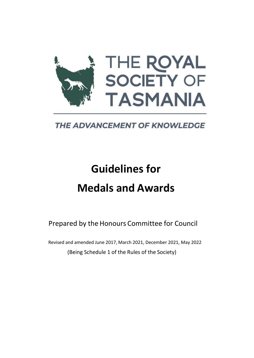

**THE ADVANCEMENT OF KNOWLEDGE** 

# **Guidelines for Medals and Awards**

Prepared by the Honours Committee for Council

Revised and amended June 2017, March 2021, December 2021, May 2022 (Being Schedule 1 of the Rules of the Society)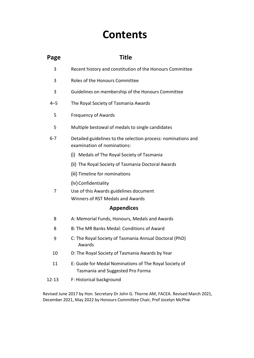## **Contents**

| Page              | <b>Title</b>                                                                                 |  |  |  |  |  |  |
|-------------------|----------------------------------------------------------------------------------------------|--|--|--|--|--|--|
| 3                 | Recent history and constitution of the Honours Committee                                     |  |  |  |  |  |  |
| 3                 | Roles of the Honours Committee                                                               |  |  |  |  |  |  |
| 3                 | Guidelines on membership of the Honours Committee                                            |  |  |  |  |  |  |
| $4 - 5$           | The Royal Society of Tasmania Awards                                                         |  |  |  |  |  |  |
| 5                 | <b>Frequency of Awards</b>                                                                   |  |  |  |  |  |  |
| 5                 | Multiple bestowal of medals to single candidates                                             |  |  |  |  |  |  |
| $6 - 7$           | Detailed guidelines to the selection process: nominations and<br>examination of nominations: |  |  |  |  |  |  |
|                   | (i) Medals of The Royal Society of Tasmania                                                  |  |  |  |  |  |  |
|                   | (ii) The Royal Society of Tasmania Doctoral Awards                                           |  |  |  |  |  |  |
|                   | (iii) Timeline for nominations                                                               |  |  |  |  |  |  |
|                   | (iv) Confidentiality                                                                         |  |  |  |  |  |  |
| 7                 | Use of this Awards guidelines document                                                       |  |  |  |  |  |  |
|                   | Winners of RST Medals and Awards                                                             |  |  |  |  |  |  |
| <b>Appendices</b> |                                                                                              |  |  |  |  |  |  |
| 8                 | A: Memorial Funds, Honours, Medals and Awards                                                |  |  |  |  |  |  |
| 8                 | B: The MR Banks Medal: Conditions of Award                                                   |  |  |  |  |  |  |
| 9                 | C: The Royal Society of Tasmania Annual Doctoral (PhD)<br>Awards                             |  |  |  |  |  |  |
| 10                | D: The Royal Society of Tasmania Awards by Year                                              |  |  |  |  |  |  |
| 11                | E: Guide for Medal Nominations of The Royal Society of<br>Tasmania and Suggested Pro Forma   |  |  |  |  |  |  |
| 12-13             | F: Historical background                                                                     |  |  |  |  |  |  |

Revised June 2017 by Hon. Secretary Dr John G. Thorne AM, FACEA. Revised March 2021, December 2021, May 2022 by Honours Committee Chair, Prof Jocelyn McPhie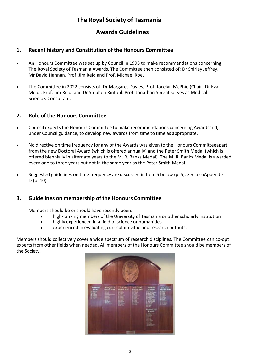## **The Royal Society of Tasmania**

## **Awards Guidelines**

#### **1. Recent history and Constitution of the Honours Committee**

- An Honours Committee was set up by Council in 1995 to make recommendations concerning The Royal Society of Tasmania Awards. The Committee then consisted of: Dr Shirley Jeffrey, Mr David Hannan, Prof. Jim Reid and Prof. Michael Roe.
- The Committee in 2022 consists of: Dr Margaret Davies, Prof. Jocelyn McPhie (Chair),Dr Eva Meidl, Prof. Jim Reid, and Dr Stephen Rintoul. Prof. Jonathan Sprent serves as Medical Sciences Consultant.

#### **2. Role of the Honours Committee**

- Council expects the Honours Committee to make recommendations concerning Awardsand, under Council guidance, to develop new awards from time to time as appropriate.
- No directive on time frequency for any of the Awards was given to the Honours Committeeapart from the new Doctoral Award (which is offered annually) and the Peter Smith Medal (which is offered biennially in alternate years to the M. R. Banks Medal). The M. R. Banks Medal is awarded every one to three years but not in the same year as the Peter Smith Medal.
- Suggested guidelines on time frequency are discussed in Item 5 below (p. 5). See alsoAppendix D (p. 10).

#### **3. Guidelines on membership of the Honours Committee**

Members should be or should have recently been:

- high-ranking members of the University of Tasmania or other scholarly institution
- highly experienced in a field of science or humanities
- experienced in evaluating curriculum vitae and research outputs.

Members should collectively cover a wide spectrum of research disciplines. The Committee can co-opt experts from other fields when needed. All members of the Honours Committee should be members of the Society.

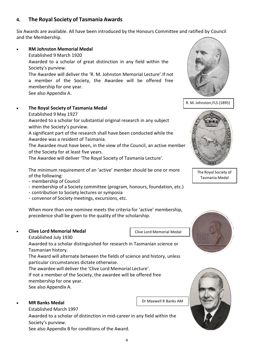## **4. The Royal Society of Tasmania Awards**

Six Awards are available. All have been introduced by the Honours Committee and ratified by Council and the Membership.

#### • **RM Johnston Memorial Medal**

Established 9 March 1920

Awarded to a scholar of great distinction in any field within the Society's purview.

The Awardee will deliver the 'R. M. Johnston Memorial Lecture'.If not a member of the Society, the Awardee will be offered free membership for one year.

See also Appendix A.

#### • **The Royal Society of Tasmania Medal**

Established 9 May 1927

Awarded to a scholar for substantial original research in any subject within the Society's purview.

A significant part of the research shall have been conducted while the Awardee was a resident of Tasmania.

The Awardee must have been, in the view of the Council, an active member of the Society for at least five years.

The Awardee will deliver 'The Royal Society of Tasmania Lecture'.

The minimum requirement of an 'active' member should be one or more of the following:

- membership of Council

- membership of a Society committee (program, honours, foundation, etc.)
- contribution to Society lectures or symposia
- convenor of Society meetings, excursions, etc.

When more than one nominee meets the criteria for 'active' membership, precedence shall be given to the quality of the scholarship.

#### • **Clive Lord Memorial Medal**

Established July 1930

Awarded to a scholar distinguished for research in Tasmanian science or Tasmanian history.

The Award will alternate between the fields of science and history, unless particular circumstances dictate otherwise.

The awardee will deliver the 'Clive Lord Memorial Lecture'.

If not a member of the Society, the awardee will be offered free membership for one year.

See also Appendix A.

#### • **MR Banks Medal**

Established March 1997

Awarded to a scholar of distinction in mid-career in any field within the Society's purview.

See also Appendix B for conditions of the Award.







The Royal Society of Tasmania Medal





Clive Lord Memorial Medal

Dr Maxwell R Banks AM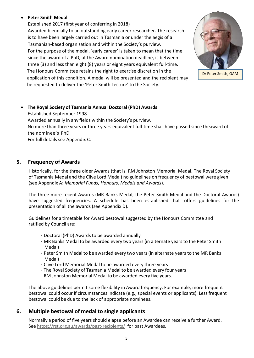#### • **Peter Smith Medal**

Established 2017 (first year of conferring in 2018) Awarded biennially to an outstanding early career researcher. The research is to have been largely carried out in Tasmania or under the aegis of a Tasmanian-based organisation and within the Society's purview. For the purpose of the medal, 'early career' is taken to mean that the time since the award of a PhD, at the Award nomination deadline, is between three (3) and less than eight (8) years or eight years equivalent full-time. The Honours Committee retains the right to exercise discretion in the application of this condition. A medal will be presented and the recipient may be requested to deliver the 'Peter Smith Lecture' to the Society.



Dr Peter Smith, OAM

• **The Royal Society of Tasmania Annual Doctoral (PhD) Awards** Established September 1998 Awarded annually in any fields within the Society's purview. No more than three years or three years equivalent full-time shall have passed since theaward of the nominee's PhD.

For full details see Appendix C.

#### **5. Frequency of Awards**

Historically, for the three older Awards (that is, RM Johnston Memorial Medal, The Royal Society of Tasmania Medal and the Clive Lord Medal) no guidelines on frequency of bestowal were given (see Appendix A: *Memorial Funds, Honours, Medals and Awards*).

The three more recent Awards (MR Banks Medal, the Peter Smith Medal and the Doctoral Awards) have suggested frequencies. A schedule has been established that offers guidelines for the presentation of all the awards (see Appendix D).

Guidelines for a timetable for Award bestowal suggested by the Honours Committee and ratified by Council are:

- Doctoral (PhD) Awards to be awarded annually
- MR Banks Medal to be awarded every two years (in alternate years to the Peter Smith Medal)
- Peter Smith Medal to be awarded every two years (in alternate years to the MR Banks Medal)
- Clive Lord Memorial Medal to be awarded every three years
- The Royal Society of Tasmania Medal to be awarded every four years
- RM Johnston Memorial Medal to be awarded every five years.

The above guidelines permit some flexibility in Award frequency. For example, more frequent bestowal could occur if circumstances indicate (e.g., special events or applicants). Less frequent bestowal could be due to the lack of appropriate nominees.

## **6. Multiple bestowal of medal to single applicants**

Normally a period of five years should elapse before an Awardee can receive a further Award. See <https://rst.org.au/awards/past-recipients/> for past Awardees.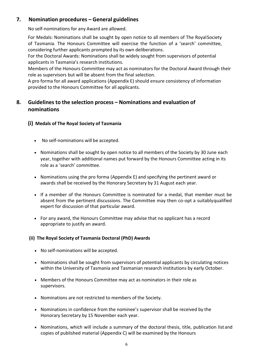## **7. Nomination procedures – General guidelines**

No self-nominations for any Award are allowed.

For Medals: Nominations shall be sought by open notice to all members of The RoyalSociety of Tasmania. The Honours Committee will exercise the function of a 'search' committee, considering further applicants prompted by its own deliberations.

For the Doctoral Awards: Nominations shall be widely sought from supervisors of potential applicants in Tasmania's research institutions.

Members of the Honours Committee may act as nominators for the Doctoral Award through their role as supervisors but will be absent from the final selection.

A pro forma for all award applications (Appendix E) should ensure consistency of information provided to the Honours Committee for all applicants.

## **8. Guidelines to the selection process – Nominations and evaluation of nominations**

**(i) Medals of The Royal Society of Tasmania**

- No self-nominations will be accepted.
- Nominations shall be sought by open notice to all members of the Society by 30 June each year, together with additional names put forward by the Honours Committee acting in its role as a 'search' committee.
- Nominations using the pro forma (Appendix E) and specifying the pertinent award or awards shall be received by the Honorary Secretary by 31 August each year.
- If a member of the Honours Committee is nominated for a medal, that member must be absent from the pertinent discussions. The Committee may then co-opt a suitablyqualified expert for discussion of that particular award.
- For any award, the Honours Committee may advise that no applicant has a record appropriate to justify an award.

#### **(ii) The Royal Society of Tasmania Doctoral (PhD) Awards**

- No self-nominations will be accepted.
- Nominations shall be sought from supervisors of potential applicants by circulating notices within the University of Tasmania and Tasmanian research institutions by early October.
- Members of the Honours Committee may act as nominators in their role as supervisors.
- Nominations are not restricted to members of the Society.
- Nominations in confidence from the nominee's supervisor shall be received by the Honorary Secretary by 15 November each year.
- Nominations, which will include a summary of the doctoral thesis, title, publication listand copies of published material (Appendix C) will be examined by the Honours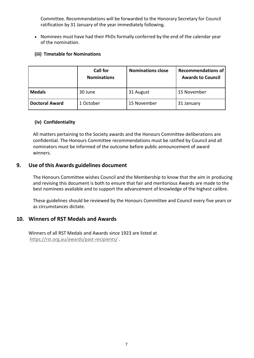Committee. Recommendations will be forwarded to the Honorary Secretary for Council ratification by 31 January of the year immediately following.

• Nominees must have had their PhDs formally conferred by the end of the calendar year of the nomination.

#### **(iii) Timetable for Nominations**

|                       | <b>Call for</b><br><b>Nominations</b> | <b>Nominations close</b> | <b>Recommendations of</b><br><b>Awards to Council</b> |
|-----------------------|---------------------------------------|--------------------------|-------------------------------------------------------|
| <b>Medals</b>         | 30 June                               | 31 August                | 15 November                                           |
| <b>Doctoral Award</b> | 1 October                             | 15 November              | 31 January                                            |

#### **(iv) Confidentiality**

All matters pertaining to the Society awards and the Honours Committee deliberations are confidential. The Honours Committee recommendations must be ratified by Council and all nominators must be informed of the outcome before public announcement of award winners.

#### **9. Use of this Awards guidelines document**

The Honours Committee wishes Council and the Membership to know that the aim in producing and revising this document is both to ensure that fair and meritorious Awards are made to the best nominees available and to support the advancement of knowledge of the highest calibre.

These guidelines should be reviewed by the Honours Committee and Council every five years or as circumstances dictate.

#### **10. Winners of RST Medals and Awards**

Winners of all RST Medals and Awards since 1923 are listed at <https://rst.org.au/awards/past-recipients/> .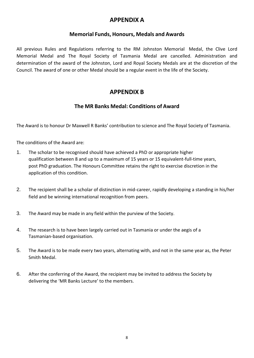## **APPENDIX A**

## **Memorial Funds, Honours, Medals and Awards**

All previous Rules and Regulations referring to the RM Johnston Memorial Medal, the Clive Lord Memorial Medal and The Royal Society of Tasmania Medal are cancelled. Administration and determination of the award of the Johnston, Lord and Royal Society Medals are at the discretion of the Council. The award of one or other Medal should be a regular event in the life of the Society.

## **APPENDIX B**

## **The MR Banks Medal: Conditions of Award**

The Award is to honour Dr Maxwell R Banks' contribution to science and The Royal Society of Tasmania.

The conditions of the Award are:

- 1. The scholar to be recognised should have achieved a PhD or appropriate higher qualification between 8 and up to a maximum of 15 years or 15 equivalent-full-time years, post PhD graduation. The Honours Committee retains the right to exercise discretion in the application of this condition.
- 2. The recipient shall be a scholar of distinction in mid-career, rapidly developing a standing in his/her field and be winning international recognition from peers.
- 3. The Award may be made in any field within the purview of the Society.
- 4. The research is to have been largely carried out in Tasmania or under the aegis of a Tasmanian-based organisation.
- 5. The Award is to be made every two years, alternating with, and not in the same year as, the Peter Smith Medal.
- 6. After the conferring of the Award, the recipient may be invited to address the Society by delivering the 'MR Banks Lecture' to the members.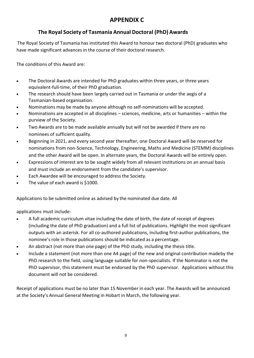## **APPENDIX C**

## **The Royal Society of Tasmania Annual Doctoral (PhD) Awards**

The Royal Society of Tasmania has instituted this Award to honour two doctoral (PhD) graduates who have made significant advances in the course of their doctoral research.

The conditions of this Award are:

- The Doctoral Awards are intended for PhD graduates within three years, or three years equivalent-full-time, of their PhD graduation.
- The research should have been largely carried out in Tasmania or under the aegis of a Tasmanian-based organisation.
- Nominations may be made by anyone although no self-nominations will be accepted.
- Nominations are accepted in all disciplines sciences, medicine, arts or humanities within the purview of the Society.
- Two Awards are to be made available annually but will not be awarded if there are no nominees of sufficient quality.
- Beginning in 2021, and every second year thereafter, one Doctoral Award will be reserved for nominations from non-Science, Technology, Engineering, Maths and Medicine (STEMM) disciplines and the other Award will be open. In alternate years, the Doctoral Awards will be entirely open.
- Expressions of interest are to be sought widely from all relevant institutions on an annual basis and must include an endorsement from the candidate's supervisor.
- Each Awardee will be encouraged to address the Society.
- The value of each award is \$1000.

Applications to be submitted online as advised by the nominated due date. All

applications must include:

- A full academic curriculum vitae including the date of birth, the date of receipt of degrees (including the date of PhD graduation) and a full list of publications. Highlight the most significant outputs with an asterisk. For all co-authored publications, including first-author publications, the nominee's role in those publications should be indicated as a percentage.
- An abstract (not more than one page) of the PhD study, including the thesis title.
- Include a statement (not more than one A4 page) of the new and original contribution madeby the PhD research to the field, using language suitable for non-specialists. If the Nominator is not the PhD supervisor, this statement must be endorsed by the PhD supervisor. Applications without this document will not be considered.

Receipt of applications must be no later than 15 November in each year. The Awards will be announced at the Society's Annual General Meeting in Hobart in March, the following year.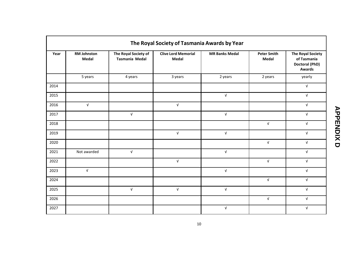| The Royal Society of Tasmania Awards by Year |                                    |                                        |                                     |                       |                             |                                                                                   |  |  |  |
|----------------------------------------------|------------------------------------|----------------------------------------|-------------------------------------|-----------------------|-----------------------------|-----------------------------------------------------------------------------------|--|--|--|
| Year                                         | <b>RM Johnston</b><br><b>Medal</b> | The Royal Society of<br>Tasmania Medal | <b>Clive Lord Memorial</b><br>Medal | <b>MR Banks Medal</b> | <b>Peter Smith</b><br>Medal | <b>The Royal Society</b><br>of Tasmania<br><b>Doctoral (PhD)</b><br><b>Awards</b> |  |  |  |
|                                              | 5 years                            | 4 years                                | 3 years                             | 2 years               | 2 years                     | yearly                                                                            |  |  |  |
| 2014                                         |                                    |                                        |                                     |                       |                             | $\sqrt{ }$                                                                        |  |  |  |
| 2015                                         |                                    |                                        |                                     | $\sqrt{ }$            |                             | $\sqrt{ }$                                                                        |  |  |  |
| 2016                                         | $\sqrt{ }$                         |                                        | $\sqrt{ }$                          |                       |                             | $\sqrt{ }$                                                                        |  |  |  |
| 2017                                         |                                    | $\sqrt{ }$                             |                                     | $\sqrt{ }$            |                             | $\sqrt{ }$                                                                        |  |  |  |
| 2018                                         |                                    |                                        |                                     |                       | $\sqrt{ }$                  | $\sqrt{ }$                                                                        |  |  |  |
| 2019                                         |                                    |                                        | $\sqrt{ }$                          | $\sqrt{ }$            |                             | $\sqrt{ }$                                                                        |  |  |  |
| 2020                                         |                                    |                                        |                                     |                       | $\sqrt{ }$                  | $\sqrt{ }$                                                                        |  |  |  |
| 2021                                         | Not awarded                        | $\sqrt{ }$                             |                                     | $\sqrt{ }$            |                             | $\sqrt{ }$                                                                        |  |  |  |
| 2022                                         |                                    |                                        | $\sqrt{ }$                          |                       | $\sqrt{ }$                  | $\sqrt{ }$                                                                        |  |  |  |
| 2023                                         | $\sqrt{ }$                         |                                        |                                     | $\sqrt{ }$            |                             | $\sqrt{ }$                                                                        |  |  |  |
| 2024                                         |                                    |                                        |                                     |                       | $\sqrt{ }$                  | $\sqrt{ }$                                                                        |  |  |  |
| 2025                                         |                                    | $\sqrt{ }$                             | $\sqrt{ }$                          | $\sqrt{ }$            |                             | $\sqrt{ }$                                                                        |  |  |  |
| 2026                                         |                                    |                                        |                                     |                       | $\sqrt{ }$                  | $\sqrt{ }$                                                                        |  |  |  |
| 2027                                         |                                    |                                        |                                     | $\sqrt{ }$            |                             | $\sqrt{ }$                                                                        |  |  |  |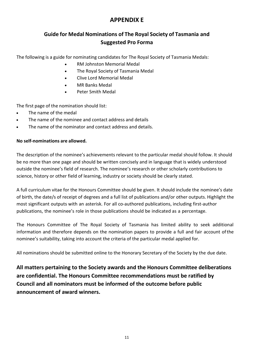## **APPENDIX E**

## **Guide for Medal Nominations of The Royal Society of Tasmania and Suggested Pro Forma**

The following is a guide for nominating candidates for The Royal Society of Tasmania Medals:

- RM Johnston Memorial Medal
- The Royal Society of Tasmania Medal
- Clive Lord Memorial Medal
- MR Banks Medal
- Peter Smith Medal

The first page of the nomination should list:

- The name of the medal
- The name of the nominee and contact address and details
- The name of the nominator and contact address and details.

#### **No self-nominations are allowed.**

The description of the nominee's achievements relevant to the particular medal should follow. It should be no more than one page and should be written concisely and in language that is widely understood outside the nominee's field of research. The nominee's research or other scholarly contributions to science, history or other field of learning, industry or society should be clearly stated.

A full curriculum vitae for the Honours Committee should be given. It should include the nominee's date of birth, the date/s of receipt of degrees and a full list of publications and/or other outputs. Highlight the most significant outputs with an asterisk. For all co-authored publications, including first-author publications, the nominee's role in those publications should be indicated as a percentage.

The Honours Committee of The Royal Society of Tasmania has limited ability to seek additional information and therefore depends on the nomination papers to provide a full and fair account ofthe nominee's suitability, taking into account the criteria of the particular medal applied for.

All nominations should be submitted online to the Honorary Secretary of the Society by the due date.

**All matters pertaining to the Society awards and the Honours Committee deliberations are confidential. The Honours Committee recommendations must be ratified by Council and all nominators must be informed of the outcome before public announcement of award winners.**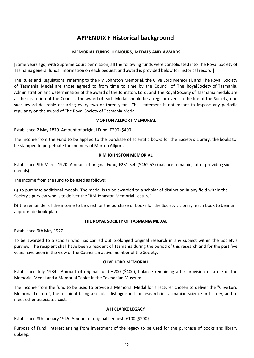## **APPENDIX F Historical background**

#### **MEMORIAL FUNDS, HONOURS, MEDALS AND AWARDS**

[Some years ago, with Supreme Court permission, all the following funds were consolidated into The Royal Society of Tasmania general funds. Information on each bequest and award is provided below for historical record.]

The Rules and Regulations referring to the RM Johnston Memorial, the Clive Lord Memorial, and The Royal Society of Tasmania Medal are those agreed to from time to time by the Council of The RoyalSociety of Tasmania. Administration and determination of the award of the Johnston, Lord, and The Royal Society of Tasmania medals are at the discretion of the Council. The award of each Medal should be a regular event in the life of the Society, one such award desirably occurring every two or three years. This statement is not meant to impose any periodic regularity on the award of The Royal Society of Tasmania Medal.

#### **MORTON ALLPORT MEMORIAL**

Established 2 May 1879. Amount of original Fund, £200 (\$400)

The income from the Fund to be applied to the purchase of scientific books for the Society's Library, the books to be stamped to perpetuate the memory of Morton Allport.

#### **R M JOHNSTON MEMORIAL**

Established 9th March 1920. Amount of original Fund, £231.5.4. (\$462.53) (balance remaining after providing six medals)

The income from the fund to be used as follows:

a) to purchase additional medals. The medal is to be awarded to a scholar of distinction in any field within the Society's purview who is to deliver the "RM Johnston Memorial Lecture".

b) the remainder of the income to be used for the purchase of books for the Society's Library, each book to bear an appropriate book-plate.

#### **THE ROYAL SOCIETY OF TASMANIA MEDAL**

Established 9th May 1927.

To be awarded to a scholar who has carried out prolonged original research in any subject within the Society's purview. The recipient shall have been a resident of Tasmania during the period of this research and for the past five years have been in the view of the Council an active member of the Society.

#### **CLIVE LORD MEMORIAL**

Established July 1934. Amount of original fund £200 (\$400), balance remaining after provision of a die of the Memorial Medal and a Memorial Tablet in the Tasmanian Museum.

The income from the fund to be used to provide a Memorial Medal for a lecturer chosen to deliver the "Clive Lord Memorial Lecture", the recipient being a scholar distinguished for research in Tasmanian science or history, and to meet other associated costs.

#### **A H CLARKE LEGACY**

Established 8th January 1945. Amount of original bequest, £100 (\$200}

Purpose of Fund: Interest arising from investment of the legacy to be used for the purchase of books and library upkeep.